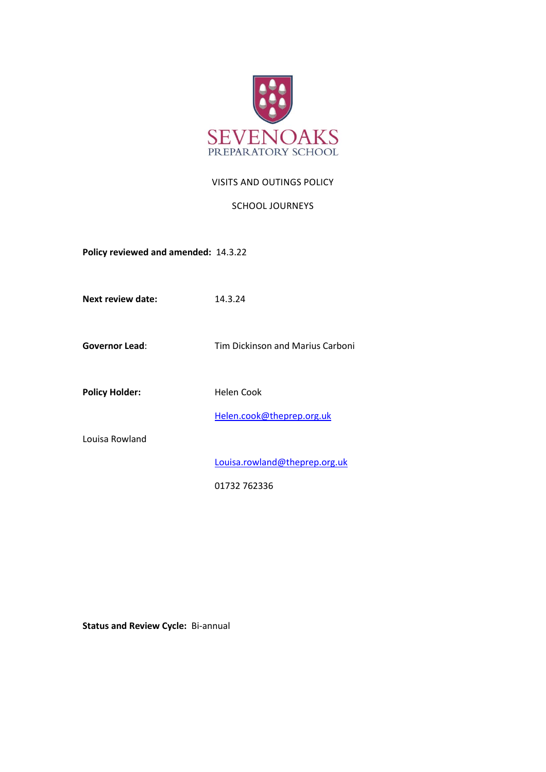

### VISITS AND OUTINGS POLICY

### SCHOOL JOURNEYS

**Policy reviewed and amended:** 14.3.22

**Next review date:** 14.3.24

**Governor Lead**: Tim Dickinson and Marius Carboni

Policy Holder: Helen Cook

[Helen.cook@theprep.org.uk](mailto:Helen.cook@theprep.org.uk)

Louisa Rowland

[Louisa.rowland@theprep.org.uk](mailto:Samantha.hayward@theprep.org.uk)

01732 762336

**Status and Review Cycle:** Bi-annual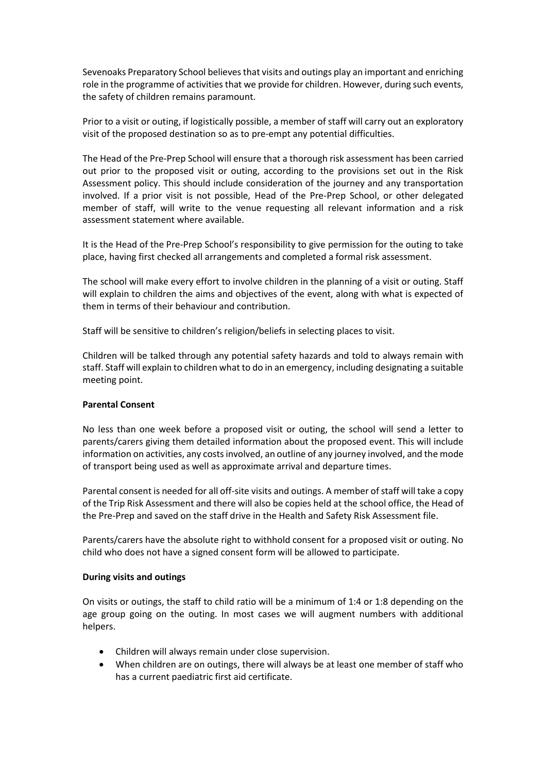Sevenoaks Preparatory School believes that visits and outings play an important and enriching role in the programme of activities that we provide for children. However, during such events, the safety of children remains paramount.

Prior to a visit or outing, if logistically possible, a member of staff will carry out an exploratory visit of the proposed destination so as to pre-empt any potential difficulties.

The Head of the Pre-Prep School will ensure that a thorough risk assessment has been carried out prior to the proposed visit or outing, according to the provisions set out in the Risk Assessment policy. This should include consideration of the journey and any transportation involved. If a prior visit is not possible, Head of the Pre-Prep School, or other delegated member of staff, will write to the venue requesting all relevant information and a risk assessment statement where available.

It is the Head of the Pre-Prep School's responsibility to give permission for the outing to take place, having first checked all arrangements and completed a formal risk assessment.

The school will make every effort to involve children in the planning of a visit or outing. Staff will explain to children the aims and objectives of the event, along with what is expected of them in terms of their behaviour and contribution.

Staff will be sensitive to children's religion/beliefs in selecting places to visit.

Children will be talked through any potential safety hazards and told to always remain with staff. Staff will explain to children what to do in an emergency, including designating a suitable meeting point.

#### **Parental Consent**

No less than one week before a proposed visit or outing, the school will send a letter to parents/carers giving them detailed information about the proposed event. This will include information on activities, any costs involved, an outline of any journey involved, and the mode of transport being used as well as approximate arrival and departure times.

Parental consent is needed for all off-site visits and outings. A member of staff will take a copy of the Trip Risk Assessment and there will also be copies held at the school office, the Head of the Pre-Prep and saved on the staff drive in the Health and Safety Risk Assessment file.

Parents/carers have the absolute right to withhold consent for a proposed visit or outing. No child who does not have a signed consent form will be allowed to participate.

#### **During visits and outings**

On visits or outings, the staff to child ratio will be a minimum of 1:4 or 1:8 depending on the age group going on the outing. In most cases we will augment numbers with additional helpers.

- Children will always remain under close supervision.
- When children are on outings, there will always be at least one member of staff who has a current paediatric first aid certificate.